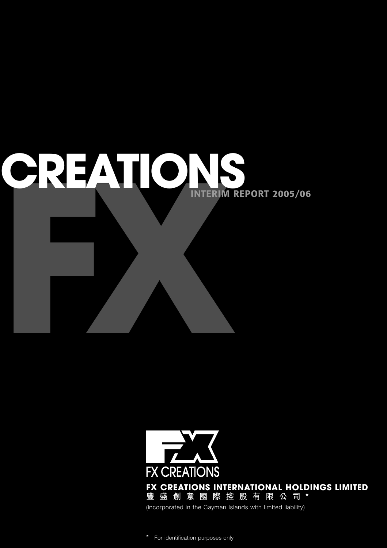



**\*** For identification purposes only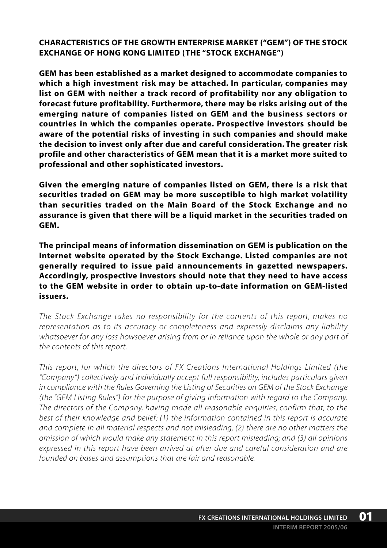**CHARACTERISTICS OF THE GROWTH ENTERPRISE MARKET ("GEM") OF THE STOCK EXCHANGE OF HONG KONG LIMITED (THE "STOCK EXCHANGE")**

**GEM has been established as a market designed to accommodate companies to which a high investment risk may be attached. In particular, companies may list on GEM with neither a track record of profitability nor any obligation to forecast future profitability. Furthermore, there may be risks arising out of the emerging nature of companies listed on GEM and the business sectors or countries in which the companies operate. Prospective investors should be aware of the potential risks of investing in such companies and should make the decision to invest only after due and careful consideration. The greater risk profile and other characteristics of GEM mean that it is a market more suited to professional and other sophisticated investors.**

**Given the emerging nature of companies listed on GEM, there is a risk that securities traded on GEM may be more susceptible to high market volatility than securities traded on the Main Board of the Stock Exchange and no assurance is given that there will be a liquid market in the securities traded on GEM.**

**The principal means of information dissemination on GEM is publication on the Internet website operated by the Stock Exchange. Listed companies are not generally required to issue paid announcements in gazetted newspapers. Accordingly, prospective investors should note that they need to have access to the GEM website in order to obtain up-to-date information on GEM-listed issuers.**

*The Stock Exchange takes no responsibility for the contents of this report, makes no representation as to its accuracy or completeness and expressly disclaims any liability whatsoever for any loss howsoever arising from or in reliance upon the whole or any part of the contents of this report.*

*This report, for which the directors of FX Creations International Holdings Limited (the "Company") collectively and individually accept full responsibility, includes particulars given in compliance with the Rules Governing the Listing of Securities on GEM of the Stock Exchange (the "GEM Listing Rules") for the purpose of giving information with regard to the Company. The directors of the Company, having made all reasonable enquiries, confirm that, to the best of their knowledge and belief: (1) the information contained in this report is accurate and complete in all material respects and not misleading; (2) there are no other matters the omission of which would make any statement in this report misleading; and (3) all opinions expressed in this report have been arrived at after due and careful consideration and are founded on bases and assumptions that are fair and reasonable.*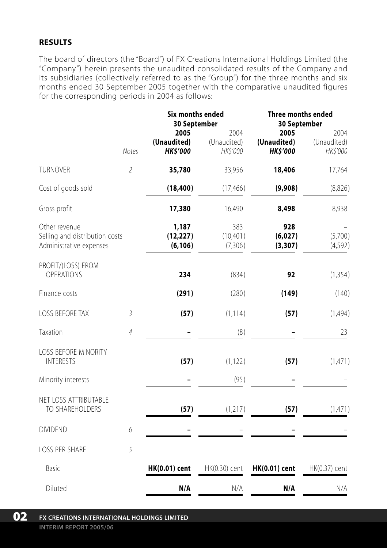### **RESULTS**

The board of directors (the "Board") of FX Creations International Holdings Limited (the "Company") herein presents the unaudited consolidated results of the Company and its subsidiaries (collectively referred to as the "Group") for the three months and six months ended 30 September 2005 together with the comparative unaudited figures for the corresponding periods in 2004 as follows:

|                                                                            |                | <b>Six months ended</b><br>30 September |                                 | Three months ended<br>30 September    |                                 |
|----------------------------------------------------------------------------|----------------|-----------------------------------------|---------------------------------|---------------------------------------|---------------------------------|
|                                                                            | <b>Notes</b>   | 2005<br>(Unaudited)<br><b>HK\$'000</b>  | 2004<br>(Unaudited)<br>HK\$'000 | 2005<br>(Unaudited)<br><b>HKS'000</b> | 2004<br>(Unaudited)<br>HK\$'000 |
| <b>TURNOVER</b>                                                            | $\overline{2}$ | 35,780                                  | 33,956                          | 18,406                                | 17,764                          |
| Cost of goods sold                                                         |                | (18, 400)                               | (17, 466)                       | (9,908)                               | (8,826)                         |
| Gross profit                                                               |                | 17,380                                  | 16,490                          | 8,498                                 | 8,938                           |
| Other revenue<br>Selling and distribution costs<br>Administrative expenses |                | 1,187<br>(12, 227)<br>(6, 106)          | 383<br>(10, 401)<br>(7,306)     | 928<br>(6,027)<br>(3, 307)            | (5,700)<br>(4,592)              |
| PROFIT/(LOSS) FROM<br><b>OPERATIONS</b>                                    |                | 234                                     | (834)                           | 92                                    | (1, 354)                        |
| Finance costs                                                              |                | (291)                                   | (280)                           | (149)                                 | (140)                           |
| <b>LOSS BEFORE TAX</b>                                                     | 3              | (57)                                    | (1, 114)                        | (57)                                  | (1,494)                         |
| Taxation                                                                   | $\overline{4}$ |                                         | (8)                             |                                       | 23                              |
| <b>LOSS BEFORE MINORITY</b><br><b>INTERESTS</b>                            |                | (57)                                    | (1, 122)                        | (57)                                  | (1,471)                         |
| Minority interests                                                         |                |                                         | (95)                            |                                       |                                 |
| NET LOSS ATTRIBUTABLE<br>TO SHAREHOLDERS                                   |                | (57)                                    | (1, 217)                        | (57)                                  | (1,471)                         |
| <b>DIVIDEND</b>                                                            | 6              |                                         |                                 |                                       |                                 |
| <b>LOSS PER SHARE</b>                                                      | 5              |                                         |                                 |                                       |                                 |
| Basic                                                                      |                | HK(0.01) cent                           | HK(0.30) cent                   | <b>HK(0.01)</b> cent                  | HK(0.37) cent                   |
| Diluted                                                                    |                | N/A                                     | N/A                             | N/A                                   | N/A                             |

**FX CREATIONS INTERNATIONAL HOLDINGS LIMITED INTERIM REPORT 2005/06 02**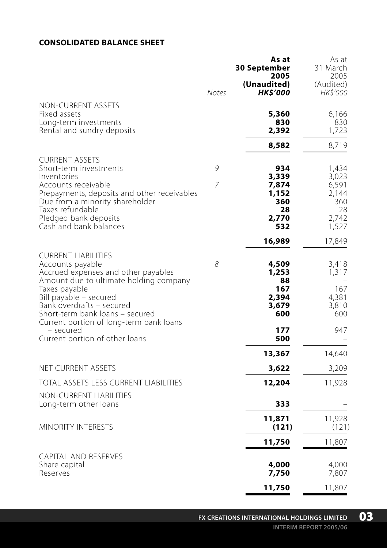#### **CONSOLIDATED BALANCE SHEET**

|                                                                            |              | As at<br>30 September<br>2005  | As at<br>31 March<br>2005    |
|----------------------------------------------------------------------------|--------------|--------------------------------|------------------------------|
|                                                                            | <b>Notes</b> | (Unaudited)<br><b>HK\$'000</b> | (Audited)<br><i>HK\$'000</i> |
| NON-CURRENT ASSETS                                                         |              |                                |                              |
| Fixed assets<br>Long-term investments                                      |              | 5,360<br>830                   | 6,166<br>830                 |
| Rental and sundry deposits                                                 |              | 2,392                          | 1,723                        |
|                                                                            |              | 8,582                          | 8,719                        |
| <b>CURRENT ASSETS</b>                                                      |              |                                |                              |
| Short-term investments<br>Inventories                                      | 9            | 934<br>3,339                   | 1,434<br>3,023               |
| Accounts receivable                                                        | 7            | 7,874                          | 6,591                        |
| Prepayments, deposits and other receivables                                |              | 1,152                          | 2,144                        |
| Due from a minority shareholder<br>Taxes refundable                        |              | 360<br>28                      | 360<br>28                    |
| Pledged bank deposits                                                      |              | 2,770                          | 2,742                        |
| Cash and bank balances                                                     |              | 532                            | 1,527                        |
|                                                                            |              | 16,989                         | 17,849                       |
| <b>CURRENT LIABILITIES</b>                                                 |              |                                |                              |
| Accounts payable<br>Accrued expenses and other payables                    | 8            | 4,509<br>1,253                 | 3,418<br>1,317               |
| Amount due to ultimate holding company                                     |              | 88                             |                              |
| Taxes payable<br>Bill payable - secured                                    |              | 167<br>2,394                   | 167<br>4,381                 |
| Bank overdrafts - secured                                                  |              | 3,679                          | 3,810                        |
| Short-term bank loans - secured<br>Current portion of long-term bank loans |              | 600                            | 600                          |
| - secured                                                                  |              | 177                            | 947                          |
| Current portion of other loans                                             |              | 500                            |                              |
|                                                                            |              | 13,367                         | 14,640                       |
| NET CURRENT ASSETS                                                         |              | 3,622                          | 3,209                        |
| TOTAL ASSETS LESS CURRENT LIABILITIES                                      |              | 12,204                         | 11,928                       |
| <b>NON-CURRENT LIABILITIES</b><br>Long-term other loans                    |              | 333                            |                              |
|                                                                            |              | 11,871                         | 11,928                       |
| <b>MINORITY INTERESTS</b>                                                  |              | (121)                          | (121)                        |
|                                                                            |              | 11,750                         | 11,807                       |
| <b>CAPITAL AND RESERVES</b>                                                |              |                                |                              |
| Share capital<br>Reserves                                                  |              | 4,000<br>7,750                 | 4,000<br>7,807               |
|                                                                            |              | 11,750                         | 11,807                       |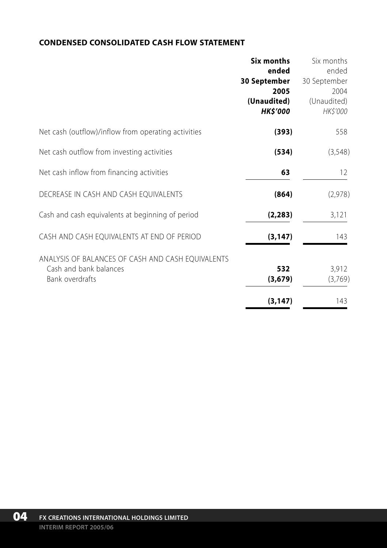### **CONDENSED CONSOLIDATED CASH FLOW STATEMENT**

|                                                     | Six months      | Six months   |
|-----------------------------------------------------|-----------------|--------------|
|                                                     | ended           | ended        |
|                                                     | 30 September    | 30 September |
|                                                     | 2005            | 2004         |
|                                                     | (Unaudited)     | (Unaudited)  |
|                                                     | <b>HK\$'000</b> | HK\$'000     |
| Net cash (outflow)/inflow from operating activities | (393)           | 558          |
| Net cash outflow from investing activities          | (534)           | (3,548)      |
| Net cash inflow from financing activities           | 63              | 12           |
| DECREASE IN CASH AND CASH EQUIVALENTS               | (864)           | (2,978)      |
| Cash and cash equivalents at beginning of period    | (2, 283)        | 3,121        |
| CASH AND CASH EQUIVALENTS AT END OF PERIOD          | (3, 147)        | 143          |
| ANALYSIS OF BALANCES OF CASH AND CASH EQUIVALENTS   |                 |              |
| Cash and bank balances                              | 532             | 3,912        |
| Bank overdrafts                                     | (3,679)         | (3,769)      |
|                                                     | (3, 147)        | 143          |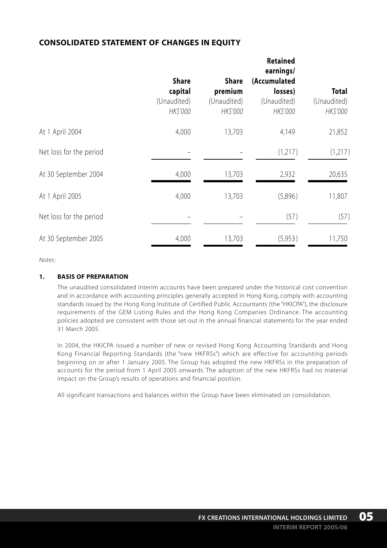### **CONSOLIDATED STATEMENT OF CHANGES IN EQUITY**

|                         | <b>Share</b><br>capital<br>(Unaudited)<br>HK\$'000 | Share<br>premium<br>(Unaudited)<br>HK\$'000 | Retained<br>earnings/<br>(Accumulated<br>losses)<br>(Unaudited)<br>HK\$'000 | Total<br>(Unaudited)<br>HK\$'000 |
|-------------------------|----------------------------------------------------|---------------------------------------------|-----------------------------------------------------------------------------|----------------------------------|
| At 1 April 2004         | 4,000                                              | 13,703                                      | 4,149                                                                       | 21,852                           |
| Net loss for the period |                                                    |                                             | (1,217)                                                                     | (1,217)                          |
| At 30 September 2004    | 4,000                                              | 13,703                                      | 2,932                                                                       | 20,635                           |
| At 1 April 2005         | 4,000                                              | 13,703                                      | (5,896)                                                                     | 11,807                           |
| Net loss for the period |                                                    |                                             | (57)                                                                        | (57)                             |
| At 30 September 2005    | 4,000                                              | 13,703                                      | (5,953)                                                                     | 11,750                           |

*Notes:*

#### **1. BASIS OF PREPARATION**

The unaudited consolidated interim accounts have been prepared under the historical cost convention and in accordance with accounting principles generally accepted in Hong Kong, comply with accounting standards issued by the Hong Kong Institute of Certified Public Accountants (the "HKICPA"), the disclosure requirements of the GEM Listing Rules and the Hong Kong Companies Ordinance. The accounting policies adopted are consistent with those set out in the annual financial statements for the year ended 31 March 2005.

In 2004, the HKICPA issued a number of new or revised Hong Kong Accounting Standards and Hong Kong Financial Reporting Standards (the "new HKFRSs") which are effective for accounting periods beginning on or after 1 January 2005. The Group has adopted the new HKFRSs in the preparation of accounts for the period from 1 April 2005 onwards. The adoption of the new HKFRSs had no material impact on the Group's results of operations and financial position.

All significant transactions and balances within the Group have been eliminated on consolidation.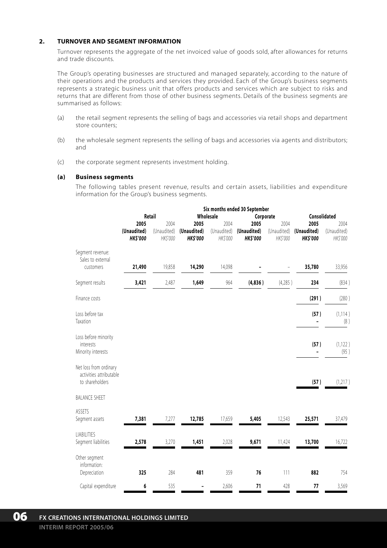#### **2. TURNOVER AND SEGMENT INFORMATION**

Turnover represents the aggregate of the net invoiced value of goods sold, after allowances for returns and trade discounts.

The Group's operating businesses are structured and managed separately, according to the nature of their operations and the products and services they provided. Each of the Group's business segments represents a strategic business unit that offers products and services which are subject to risks and returns that are different from those of other business segments. Details of the business segments are summarised as follows:

- (a) the retail segment represents the selling of bags and accessories via retail shops and department store counters;
- (b) the wholesale segment represents the selling of bags and accessories via agents and distributors; and
- (c) the corporate segment represents investment holding.

#### **(a) Business segments**

The following tables present revenue, results and certain assets, liabilities and expenditure information for the Group's business segments.

|                                                                      | Six months ended 30 September |                        |                               |                         |                               |                         |                               |                         |  |
|----------------------------------------------------------------------|-------------------------------|------------------------|-------------------------------|-------------------------|-------------------------------|-------------------------|-------------------------------|-------------------------|--|
|                                                                      | Retail                        |                        |                               | Wholesale<br>Corporate  |                               |                         |                               | Consolidated            |  |
|                                                                      | 2005                          | 2004                   | 2005                          | 2004                    | 2005                          | 2004                    | 2005                          | 2004                    |  |
|                                                                      | (Unaudited)<br><b>HKS'000</b> | (Unaudited)<br>HKS'000 | (Unaudited)<br><b>HKS'000</b> | (Unaudited)<br>HK\$'000 | (Unaudited)<br><b>HKS'000</b> | (Unaudited)<br>HK\$'000 | (Unaudited)<br><b>HKS'000</b> | (Unaudited)<br>HK\$'000 |  |
| Segment revenue:<br>Sales to external<br>customers                   | 21,490                        | 19,858                 | 14,290                        | 14,098                  |                               |                         | 35,780                        | 33,956                  |  |
|                                                                      |                               |                        |                               |                         |                               |                         |                               |                         |  |
| Segment results                                                      | 3,421                         | 2,487                  | 1,649                         | 964                     | (4, 836)                      | (4,285)                 | 234                           | (834)                   |  |
| Finance costs                                                        |                               |                        |                               |                         |                               |                         | (291)                         | (280)                   |  |
| Loss before tax<br>Taxation                                          |                               |                        |                               |                         |                               |                         | (57)                          | (1, 114)<br>(8)         |  |
| Loss before minority<br>interests<br>Minority interests              |                               |                        |                               |                         |                               |                         | (57)                          | (1, 122)<br>(95)        |  |
| Net loss from ordinary<br>activities attributable<br>to shareholders |                               |                        |                               |                         |                               |                         | (57)                          | (1, 217)                |  |
| <b>BALANCE SHEET</b>                                                 |                               |                        |                               |                         |                               |                         |                               |                         |  |
| ASSETS<br>Segment assets                                             | 7,381                         | 7,277                  | 12,785                        | 17,659                  | 5,405                         | 12,543                  | 25,571                        | 37,479                  |  |
| LIABILITIES<br>Segment liabilities                                   | 2,578                         | 3,270                  | 1,451                         | 2,028                   | 9,671                         | 11,424                  | 13,700                        | 16,722                  |  |
| Other segment<br>information:<br>Depreciation                        | 325                           | 284                    | 481                           | 359                     | 76                            | 111                     | 882                           | 754                     |  |
| Capital expenditure                                                  | 6                             | 535                    | $\overline{\phantom{0}}$      | 2,606                   | 71                            | 428                     | 77                            | 3,569                   |  |
|                                                                      |                               |                        |                               |                         |                               |                         |                               |                         |  |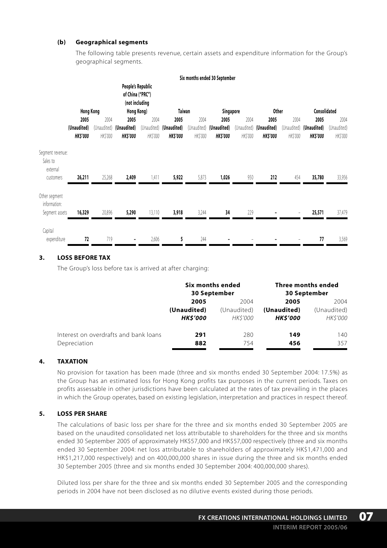#### **(b) Geographical segments**

The following table presents revenue, certain assets and expenditure information for the Group's geographical segments.

|                                                 |                                |                        |                                                                       |         |                                            |         | Six months ended 30 September             |                         |                               |                        |                                |                         |
|-------------------------------------------------|--------------------------------|------------------------|-----------------------------------------------------------------------|---------|--------------------------------------------|---------|-------------------------------------------|-------------------------|-------------------------------|------------------------|--------------------------------|-------------------------|
|                                                 | <b>Hong Kong</b>               |                        | People's Republic<br>of China ("PRC")<br>(not including<br>Hong Kong) |         | Taiwan                                     |         | Singapore                                 |                         | Other                         |                        | Consolidated                   |                         |
|                                                 | 2005                           | 2004                   | 2005                                                                  | 2004    | 2005                                       | 2004    | 2005                                      | 2004                    | 2005                          | 2004                   | 2005                           | 2004                    |
|                                                 | (Unaudited)<br><b>HK\$'000</b> | (Unaudited)<br>HKS'000 | (Unaudited)<br><b>HKS'000</b>                                         | HKS'000 | (Unaudited) (Unaudited)<br><b>HK\$'000</b> | HKS'000 | (Unaudited) (Unaudited)<br><b>HKS'000</b> | (Unaudited)<br>HK\$'000 | (Unaudited)<br><b>HKS'000</b> | (Unaudited)<br>HKS'000 | (Unaudited)<br><b>HK\$'000</b> | (Unaudited)<br>HK\$'000 |
| Segment revenue:<br>Sales to<br>external        |                                |                        |                                                                       |         |                                            |         |                                           |                         |                               |                        |                                |                         |
| customers                                       | 26,211                         | 25,268                 | 2,409                                                                 | 1,411   | 5,922                                      | 5,873   | 1,026                                     | 950                     | 212                           | 454                    | 35,780                         | 33,956                  |
| Other segment<br>information:<br>Segment assets | 16,329                         | 20,896                 | 5,290                                                                 | 13,110  | 3,918                                      | 3,244   | 34                                        | 229                     |                               |                        | 25,571                         | 37,479                  |
| Capital<br>expenditure                          | 72                             | 719                    | ٠                                                                     | 2,606   | 5                                          | 244     |                                           |                         |                               |                        | 77                             | 3,569                   |

#### **3. LOSS BEFORE TAX**

The Group's loss before tax is arrived at after charging:

|                                       | Six months ended<br>30 September |                 | Three months ended<br>30 September |                |
|---------------------------------------|----------------------------------|-----------------|------------------------------------|----------------|
|                                       | 2005                             | 2004            | 2005                               | 2004           |
|                                       | (Unaudited)                      | (Unaudited)     | (Unaudited)                        | (Unaudited)    |
|                                       | <b>HKS'000</b>                   | <i>HK\$'000</i> | <b>HKS'000</b>                     | <b>HKS'000</b> |
| Interest on overdrafts and bank loans | 291                              | 280             | 149                                | 140            |
| Depreciation                          | 882                              | 754             | 456                                | 357            |

#### **4. TAXATION**

No provision for taxation has been made (three and six months ended 30 September 2004: 17.5%) as the Group has an estimated loss for Hong Kong profits tax purposes in the current periods. Taxes on profits assessable in other jurisdictions have been calculated at the rates of tax prevailing in the places in which the Group operates, based on existing legislation, interpretation and practices in respect thereof.

#### **5. LOSS PER SHARE**

The calculations of basic loss per share for the three and six months ended 30 September 2005 are based on the unaudited consolidated net loss attributable to shareholders for the three and six months ended 30 September 2005 of approximately HK\$57,000 and HK\$57,000 respectively (three and six months ended 30 September 2004: net loss attributable to shareholders of approximately HK\$1,471,000 and HK\$1,217,000 respectively) and on 400,000,000 shares in issue during the three and six months ended 30 September 2005 (three and six months ended 30 September 2004: 400,000,000 shares).

Diluted loss per share for the three and six months ended 30 September 2005 and the corresponding periods in 2004 have not been disclosed as no dilutive events existed during those periods.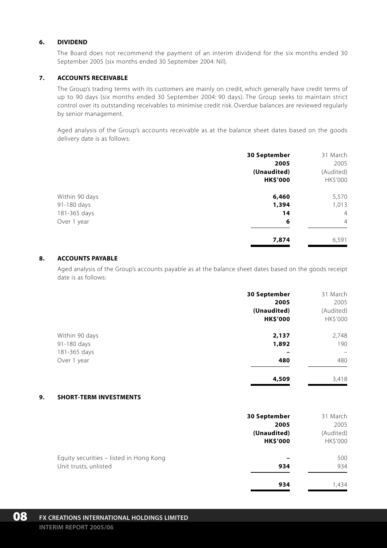#### **6. DIVIDEND**

The Board does not recommend the payment of an interim dividend for the six months ended 30 September 2005 (six months ended 30 September 2004: Nil).

#### **7. ACCOUNTS RECEIVABLE**

The Group's trading terms with its customers are mainly on credit, which generally have credit terms of up to 90 days (six months ended 30 September 2004: 90 days). The Group seeks to maintain strict control over its outstanding receivables to minimise credit risk. Overdue balances are reviewed regularly by senior management.

Aged analysis of the Group's accounts receivable as at the balance sheet dates based on the goods delivery date is as follows:

|                | 30 September    | 31 March       |
|----------------|-----------------|----------------|
|                | 2005            | 2005           |
|                | (Unaudited)     | (Audited)      |
|                | <b>HK\$'000</b> | HK\$'000       |
| Within 90 days | 6,460           | 5,570          |
| 91-180 days    | 1,394           | 1,013          |
| 181-365 days   | 14              | $\overline{4}$ |
| Over 1 year    | 6               | $\overline{4}$ |
|                | 7,874           | 6,591          |

#### **8. ACCOUNTS PAYABLE**

Aged analysis of the Group's accounts payable as at the balance sheet dates based on the goods receipt date is as follows:

|                | 30 September    | 31 March  |
|----------------|-----------------|-----------|
|                | 2005            | 2005      |
|                | (Unaudited)     | (Audited) |
|                | <b>HK\$'000</b> | HK\$'000  |
| Within 90 days | 2,137           | 2,748     |
| 91-180 days    | 1,892           | 190       |
| 181-365 days   |                 | -         |
| Over 1 year    | 480             | 480       |
|                | 4,509           | 3,418     |

#### **9. SHORT-TERM INVESTMENTS**

|                                         | 30 September    | 31 March  |
|-----------------------------------------|-----------------|-----------|
|                                         | 2005            | 2005      |
|                                         | (Unaudited)     | (Audited) |
|                                         | <b>HK\$'000</b> | HK\$'000  |
| Equity securities - listed in Hong Kong |                 | 500       |
| Unit trusts, unlisted                   | 934             | 934       |
|                                         | 934             | 1.434     |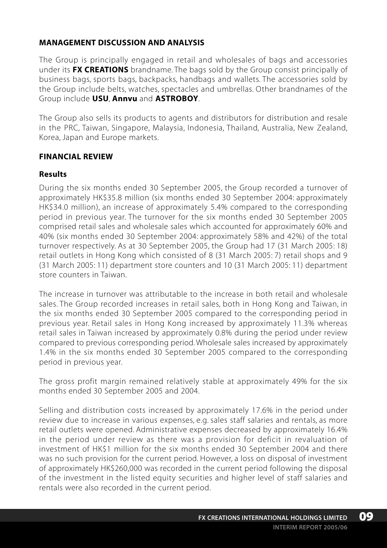## **MANAGEMENT DISCUSSION AND ANALYSIS**

The Group is principally engaged in retail and wholesales of bags and accessories under its **FX CREATIONS** brandname. The bags sold by the Group consist principally of business bags, sports bags, backpacks, handbags and wallets. The accessories sold by the Group include belts, watches, spectacles and umbrellas. Other brandnames of the Group include **USU**, **Annvu** and **ASTROBOY**.

The Group also sells its products to agents and distributors for distribution and resale in the PRC, Taiwan, Singapore, Malaysia, Indonesia, Thailand, Australia, New Zealand, Korea, Japan and Europe markets.

### **FINANCIAL REVIEW**

### **Results**

During the six months ended 30 September 2005, the Group recorded a turnover of approximately HK\$35.8 million (six months ended 30 September 2004: approximately HK\$34.0 million), an increase of approximately 5.4% compared to the corresponding period in previous year. The turnover for the six months ended 30 September 2005 comprised retail sales and wholesale sales which accounted for approximately 60% and 40% (six months ended 30 September 2004: approximately 58% and 42%) of the total turnover respectively. As at 30 September 2005, the Group had 17 (31 March 2005: 18) retail outlets in Hong Kong which consisted of 8 (31 March 2005: 7) retail shops and 9 (31 March 2005: 11) department store counters and 10 (31 March 2005: 11) department store counters in Taiwan.

The increase in turnover was attributable to the increase in both retail and wholesale sales. The Group recorded increases in retail sales, both in Hong Kong and Taiwan, in the six months ended 30 September 2005 compared to the corresponding period in previous year. Retail sales in Hong Kong increased by approximately 11.3% whereas retail sales in Taiwan increased by approximately 0.8% during the period under review compared to previous corresponding period. Wholesale sales increased by approximately 1.4% in the six months ended 30 September 2005 compared to the corresponding period in previous year.

The gross profit margin remained relatively stable at approximately 49% for the six months ended 30 September 2005 and 2004.

Selling and distribution costs increased by approximately 17.6% in the period under review due to increase in various expenses, e.g. sales staff salaries and rentals, as more retail outlets were opened. Administrative expenses decreased by approximately 16.4% in the period under review as there was a provision for deficit in revaluation of investment of HK\$1 million for the six months ended 30 September 2004 and there was no such provision for the current period. However, a loss on disposal of investment of approximately HK\$260,000 was recorded in the current period following the disposal of the investment in the listed equity securities and higher level of staff salaries and rentals were also recorded in the current period.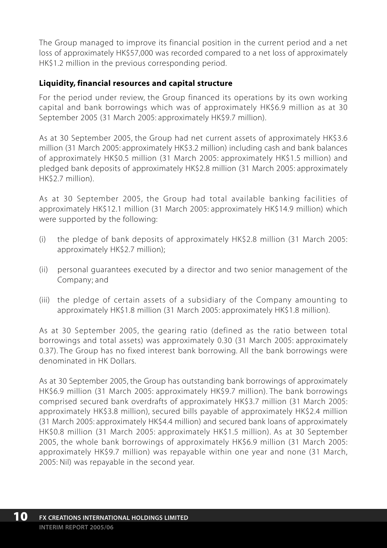The Group managed to improve its financial position in the current period and a net loss of approximately HK\$57,000 was recorded compared to a net loss of approximately HK\$1.2 million in the previous corresponding period.

## **Liquidity, financial resources and capital structure**

For the period under review, the Group financed its operations by its own working capital and bank borrowings which was of approximately HK\$6.9 million as at 30 September 2005 (31 March 2005: approximately HK\$9.7 million).

As at 30 September 2005, the Group had net current assets of approximately HK\$3.6 million (31 March 2005: approximately HK\$3.2 million) including cash and bank balances of approximately HK\$0.5 million (31 March 2005: approximately HK\$1.5 million) and pledged bank deposits of approximately HK\$2.8 million (31 March 2005: approximately HK\$2.7 million).

As at 30 September 2005, the Group had total available banking facilities of approximately HK\$12.1 million (31 March 2005: approximately HK\$14.9 million) which were supported by the following:

- (i) the pledge of bank deposits of approximately HK\$2.8 million (31 March 2005: approximately HK\$2.7 million);
- (ii) personal guarantees executed by a director and two senior management of the Company; and
- (iii) the pledge of certain assets of a subsidiary of the Company amounting to approximately HK\$1.8 million (31 March 2005: approximately HK\$1.8 million).

As at 30 September 2005, the gearing ratio (defined as the ratio between total borrowings and total assets) was approximately 0.30 (31 March 2005: approximately 0.37). The Group has no fixed interest bank borrowing. All the bank borrowings were denominated in HK Dollars.

As at 30 September 2005, the Group has outstanding bank borrowings of approximately HK\$6.9 million (31 March 2005: approximately HK\$9.7 million). The bank borrowings comprised secured bank overdrafts of approximately HK\$3.7 million (31 March 2005: approximately HK\$3.8 million), secured bills payable of approximately HK\$2.4 million (31 March 2005: approximately HK\$4.4 million) and secured bank loans of approximately HK\$0.8 million (31 March 2005: approximately HK\$1.5 million). As at 30 September 2005, the whole bank borrowings of approximately HK\$6.9 million (31 March 2005: approximately HK\$9.7 million) was repayable within one year and none (31 March, 2005: Nil) was repayable in the second year.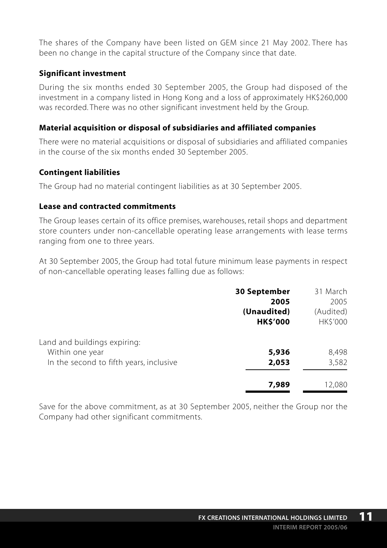The shares of the Company have been listed on GEM since 21 May 2002. There has been no change in the capital structure of the Company since that date.

### **Significant investment**

During the six months ended 30 September 2005, the Group had disposed of the investment in a company listed in Hong Kong and a loss of approximately HK\$260,000 was recorded. There was no other significant investment held by the Group.

### **Material acquisition or disposal of subsidiaries and affiliated companies**

There were no material acquisitions or disposal of subsidiaries and affiliated companies in the course of the six months ended 30 September 2005.

### **Contingent liabilities**

The Group had no material contingent liabilities as at 30 September 2005.

### **Lease and contracted commitments**

The Group leases certain of its office premises, warehouses, retail shops and department store counters under non-cancellable operating lease arrangements with lease terms ranging from one to three years.

At 30 September 2005, the Group had total future minimum lease payments in respect of non-cancellable operating leases falling due as follows:

|                                         | <b>30 September</b> | 31 March  |
|-----------------------------------------|---------------------|-----------|
|                                         | 2005                | 2005      |
|                                         | (Unaudited)         | (Audited) |
|                                         | <b>HK\$'000</b>     | HK\$'000  |
| Land and buildings expiring:            |                     |           |
| Within one year                         | 5,936               | 8,498     |
| In the second to fifth years, inclusive | 2,053               | 3,582     |
|                                         | 7,989               | 12,080    |

Save for the above commitment, as at 30 September 2005, neither the Group nor the Company had other significant commitments.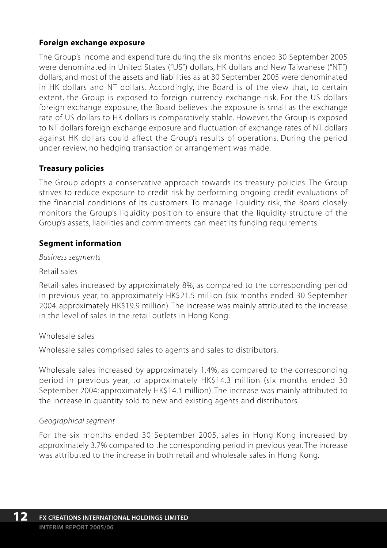## **Foreign exchange exposure**

The Group's income and expenditure during the six months ended 30 September 2005 were denominated in United States ("US") dollars, HK dollars and New Taiwanese ("NT") dollars, and most of the assets and liabilities as at 30 September 2005 were denominated in HK dollars and NT dollars. Accordingly, the Board is of the view that, to certain extent, the Group is exposed to foreign currency exchange risk. For the US dollars foreign exchange exposure, the Board believes the exposure is small as the exchange rate of US dollars to HK dollars is comparatively stable. However, the Group is exposed to NT dollars foreign exchange exposure and fluctuation of exchange rates of NT dollars against HK dollars could affect the Group's results of operations. During the period under review, no hedging transaction or arrangement was made.

### **Treasury policies**

The Group adopts a conservative approach towards its treasury policies. The Group strives to reduce exposure to credit risk by performing ongoing credit evaluations of the financial conditions of its customers. To manage liquidity risk, the Board closely monitors the Group's liquidity position to ensure that the liquidity structure of the Group's assets, liabilities and commitments can meet its funding requirements.

### **Segment information**

*Business segments*

Retail sales

Retail sales increased by approximately 8%, as compared to the corresponding period in previous year, to approximately HK\$21.5 million (six months ended 30 September 2004: approximately HK\$19.9 million). The increase was mainly attributed to the increase in the level of sales in the retail outlets in Hong Kong.

### Wholesale sales

Wholesale sales comprised sales to agents and sales to distributors.

Wholesale sales increased by approximately 1.4%, as compared to the corresponding period in previous year, to approximately HK\$14.3 million (six months ended 30 September 2004: approximately HK\$14.1 million). The increase was mainly attributed to the increase in quantity sold to new and existing agents and distributors.

### *Geographical segment*

For the six months ended 30 September 2005, sales in Hong Kong increased by approximately 3.7% compared to the corresponding period in previous year. The increase was attributed to the increase in both retail and wholesale sales in Hong Kong.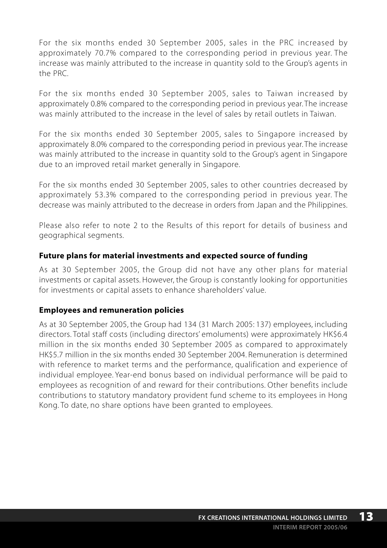For the six months ended 30 September 2005, sales in the PRC increased by approximately 70.7% compared to the corresponding period in previous year. The increase was mainly attributed to the increase in quantity sold to the Group's agents in the PRC.

For the six months ended 30 September 2005, sales to Taiwan increased by approximately 0.8% compared to the corresponding period in previous year. The increase was mainly attributed to the increase in the level of sales by retail outlets in Taiwan.

For the six months ended 30 September 2005, sales to Singapore increased by approximately 8.0% compared to the corresponding period in previous year. The increase was mainly attributed to the increase in quantity sold to the Group's agent in Singapore due to an improved retail market generally in Singapore.

For the six months ended 30 September 2005, sales to other countries decreased by approximately 53.3% compared to the corresponding period in previous year. The decrease was mainly attributed to the decrease in orders from Japan and the Philippines.

Please also refer to note 2 to the Results of this report for details of business and geographical segments.

## **Future plans for material investments and expected source of funding**

As at 30 September 2005, the Group did not have any other plans for material investments or capital assets. However, the Group is constantly looking for opportunities for investments or capital assets to enhance shareholders' value.

## **Employees and remuneration policies**

As at 30 September 2005, the Group had 134 (31 March 2005: 137) employees, including directors. Total staff costs (including directors' emoluments) were approximately HK\$6.4 million in the six months ended 30 September 2005 as compared to approximately HK\$5.7 million in the six months ended 30 September 2004. Remuneration is determined with reference to market terms and the performance, qualification and experience of individual employee. Year-end bonus based on individual performance will be paid to employees as recognition of and reward for their contributions. Other benefits include contributions to statutory mandatory provident fund scheme to its employees in Hong Kong. To date, no share options have been granted to employees.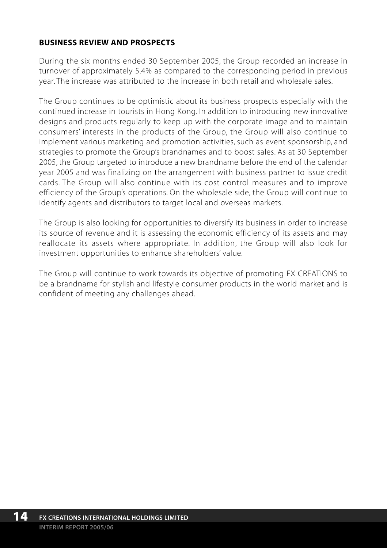## **BUSINESS REVIEW AND PROSPECTS**

During the six months ended 30 September 2005, the Group recorded an increase in turnover of approximately 5.4% as compared to the corresponding period in previous year. The increase was attributed to the increase in both retail and wholesale sales.

The Group continues to be optimistic about its business prospects especially with the continued increase in tourists in Hong Kong. In addition to introducing new innovative designs and products regularly to keep up with the corporate image and to maintain consumers' interests in the products of the Group, the Group will also continue to implement various marketing and promotion activities, such as event sponsorship, and strategies to promote the Group's brandnames and to boost sales. As at 30 September 2005, the Group targeted to introduce a new brandname before the end of the calendar year 2005 and was finalizing on the arrangement with business partner to issue credit cards. The Group will also continue with its cost control measures and to improve efficiency of the Group's operations. On the wholesale side, the Group will continue to identify agents and distributors to target local and overseas markets.

The Group is also looking for opportunities to diversify its business in order to increase its source of revenue and it is assessing the economic efficiency of its assets and may reallocate its assets where appropriate. In addition, the Group will also look for investment opportunities to enhance shareholders' value.

The Group will continue to work towards its objective of promoting FX CREATIONS to be a brandname for stylish and lifestyle consumer products in the world market and is confident of meeting any challenges ahead.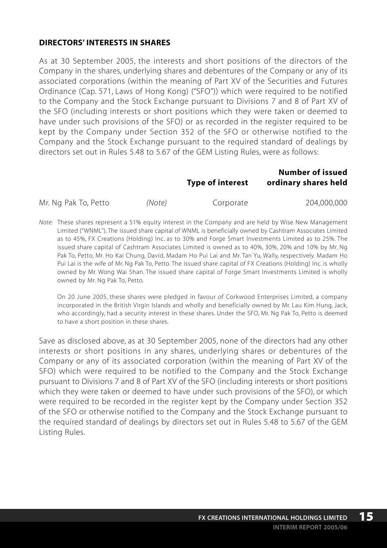## **DIRECTORS' INTERESTS IN SHARES**

As at 30 September 2005, the interests and short positions of the directors of the Company in the shares, underlying shares and debentures of the Company or any of its associated corporations (within the meaning of Part XV of the Securities and Futures Ordinance (Cap. 571, Laws of Hong Kong) ("SFO")) which were required to be notified to the Company and the Stock Exchange pursuant to Divisions 7 and 8 of Part XV of the SFO (including interests or short positions which they were taken or deemed to have under such provisions of the SFO) or as recorded in the register required to be kept by the Company under Section 352 of the SFO or otherwise notified to the Company and the Stock Exchange pursuant to the required standard of dealings by directors set out in Rules 5.48 to 5.67 of the GEM Listing Rules, were as follows:

|                      |        | Type of interest | <b>Number of issued</b><br>ordinary shares held |
|----------------------|--------|------------------|-------------------------------------------------|
| Mr. Ng Pak To, Petto | (Note) | Corporate        | 204.000.000                                     |

*Note:* These shares represent a 51% equity interest in the Company and are held by Wise New Management Limited ("WNML"). The issued share capital of WNML is beneficially owned by Cashtram Associates Limited as to 45%, FX Creations (Holding) Inc. as to 30% and Forge Smart Investments Limited as to 25%. The issued share capital of Cashtram Associates Limited is owned as to 40%, 30%, 20% and 10% by Mr. Ng Pak To, Petto, Mr. Ho Kai Chung, David, Madam Ho Pui Lai and Mr. Tan Yu, Wally, respectively. Madam Ho Pui Lai is the wife of Mr. Ng Pak To, Petto. The issued share capital of FX Creations (Holding) Inc. is wholly owned by Mr. Wong Wai Shan. The issued share capital of Forge Smart Investments Limited is wholly owned by Mr. Ng Pak To, Petto.

On 20 June 2005, these shares were pledged in favour of Corkwood Enterprises Limited, a company incorporated in the British Virgin Islands and wholly and beneficially owned by Mr. Lau Kim Hung, Jack, who accordingly, had a security interest in these shares. Under the SFO, Mr. Ng Pak To, Petto is deemed to have a short position in these shares.

Save as disclosed above, as at 30 September 2005, none of the directors had any other interests or short positions in any shares, underlying shares or debentures of the Company or any of its associated corporation (within the meaning of Part XV of the SFO) which were required to be notified to the Company and the Stock Exchange pursuant to Divisions 7 and 8 of Part XV of the SFO (including interests or short positions which they were taken or deemed to have under such provisions of the SFO), or which were required to be recorded in the register kept by the Company under Section 352 of the SFO or otherwise notified to the Company and the Stock Exchange pursuant to the required standard of dealings by directors set out in Rules 5.48 to 5.67 of the GEM Listing Rules.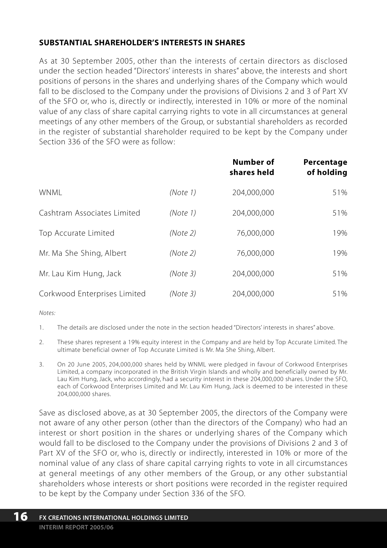## **SUBSTANTIAL SHAREHOLDER'S INTERESTS IN SHARES**

As at 30 September 2005, other than the interests of certain directors as disclosed under the section headed "Directors' interests in shares" above, the interests and short positions of persons in the shares and underlying shares of the Company which would fall to be disclosed to the Company under the provisions of Divisions 2 and 3 of Part XV of the SFO or, who is, directly or indirectly, interested in 10% or more of the nominal value of any class of share capital carrying rights to vote in all circumstances at general meetings of any other members of the Group, or substantial shareholders as recorded in the register of substantial shareholder required to be kept by the Company under Section 336 of the SFO were as follow:

|                              |          | Number of<br>shares held | Percentage<br>of holding |
|------------------------------|----------|--------------------------|--------------------------|
| <b>WNMI</b>                  | (Note 1) | 204,000,000              | 51%                      |
| Cashtram Associates Limited  | (Note 1) | 204,000,000              | 51%                      |
| Top Accurate Limited         | (Note 2) | 76,000,000               | 19%                      |
| Mr. Ma She Shing, Albert     | (Note 2) | 76.000.000               | 19%                      |
| Mr. Lau Kim Hung, Jack       | (Note 3) | 204.000.000              | 51%                      |
| Corkwood Enterprises Limited | (Note 3) | 204.000.000              | 51%                      |

*Notes:*

- 1. The details are disclosed under the note in the section headed "Directors' interests in shares" above.
- 2. These shares represent a 19% equity interest in the Company and are held by Top Accurate Limited. The ultimate beneficial owner of Top Accurate Limited is Mr. Ma She Shing, Albert.
- 3. On 20 June 2005, 204,000,000 shares held by WNML were pledged in favour of Corkwood Enterprises Limited, a company incorporated in the British Virgin Islands and wholly and beneficially owned by Mr. Lau Kim Hung, Jack, who accordingly, had a security interest in these 204,000,000 shares. Under the SFO, each of Corkwood Enterprises Limited and Mr. Lau Kim Hung, Jack is deemed to be interested in these 204,000,000 shares.

Save as disclosed above, as at 30 September 2005, the directors of the Company were not aware of any other person (other than the directors of the Company) who had an interest or short position in the shares or underlying shares of the Company which would fall to be disclosed to the Company under the provisions of Divisions 2 and 3 of Part XV of the SFO or, who is, directly or indirectly, interested in 10% or more of the nominal value of any class of share capital carrying rights to vote in all circumstances at general meetings of any other members of the Group, or any other substantial shareholders whose interests or short positions were recorded in the register required to be kept by the Company under Section 336 of the SFO.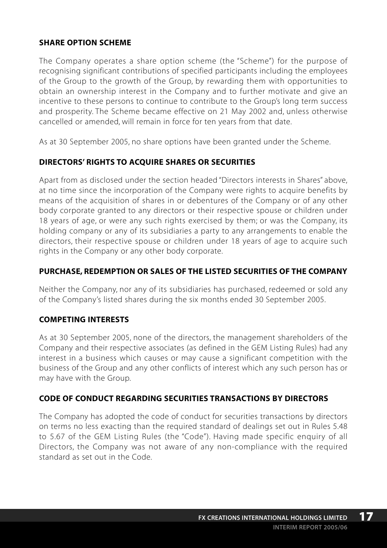## **SHARE OPTION SCHEME**

The Company operates a share option scheme (the "Scheme") for the purpose of recognising significant contributions of specified participants including the employees of the Group to the growth of the Group, by rewarding them with opportunities to obtain an ownership interest in the Company and to further motivate and give an incentive to these persons to continue to contribute to the Group's long term success and prosperity. The Scheme became effective on 21 May 2002 and, unless otherwise cancelled or amended, will remain in force for ten years from that date.

As at 30 September 2005, no share options have been granted under the Scheme.

## **DIRECTORS' RIGHTS TO ACQUIRE SHARES OR SECURITIES**

Apart from as disclosed under the section headed "Directors interests in Shares" above, at no time since the incorporation of the Company were rights to acquire benefits by means of the acquisition of shares in or debentures of the Company or of any other body corporate granted to any directors or their respective spouse or children under 18 years of age, or were any such rights exercised by them; or was the Company, its holding company or any of its subsidiaries a party to any arrangements to enable the directors, their respective spouse or children under 18 years of age to acquire such rights in the Company or any other body corporate.

## **PURCHASE, REDEMPTION OR SALES OF THE LISTED SECURITIES OF THE COMPANY**

Neither the Company, nor any of its subsidiaries has purchased, redeemed or sold any of the Company's listed shares during the six months ended 30 September 2005.

## **COMPETING INTERESTS**

As at 30 September 2005, none of the directors, the management shareholders of the Company and their respective associates (as defined in the GEM Listing Rules) had any interest in a business which causes or may cause a significant competition with the business of the Group and any other conflicts of interest which any such person has or may have with the Group.

## **CODE OF CONDUCT REGARDING SECURITIES TRANSACTIONS BY DIRECTORS**

The Company has adopted the code of conduct for securities transactions by directors on terms no less exacting than the required standard of dealings set out in Rules 5.48 to 5.67 of the GEM Listing Rules (the "Code"). Having made specific enquiry of all Directors, the Company was not aware of any non-compliance with the required standard as set out in the Code.